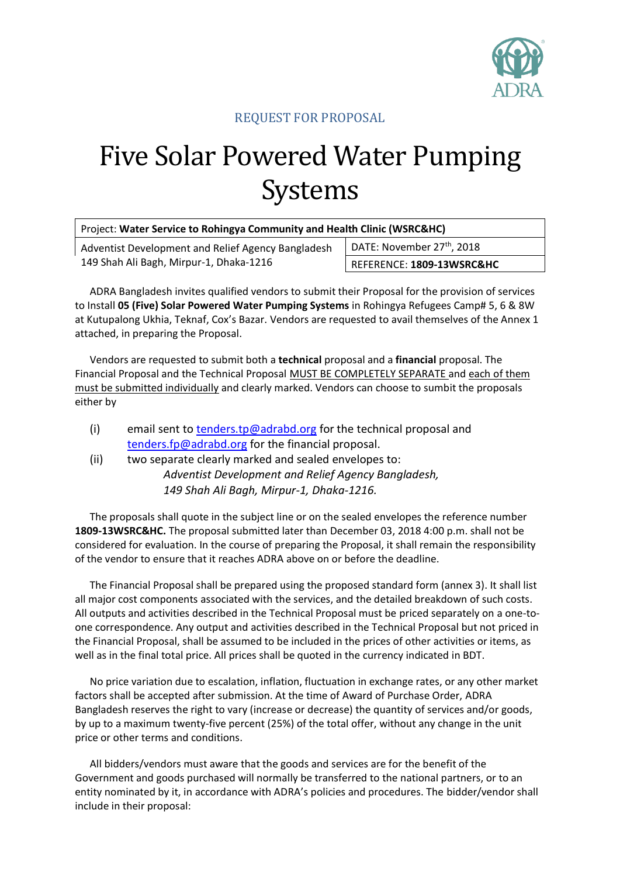

## REQUEST FOR PROPOSAL

## Five Solar Powered Water Pumping Systems

| Project: Water Service to Rohingya Community and Health Clinic (WSRC&HC) |  |  |  |
|--------------------------------------------------------------------------|--|--|--|
|--------------------------------------------------------------------------|--|--|--|

Adventist Development and Relief Agency Bangladesh 149 Shah Ali Bagh, Mirpur-1, Dhaka-1216

DATE: November 27<sup>th</sup>, 2018

REFERENCE: **1809-13WSRC&HC**

ADRA Bangladesh invites qualified vendors to submit their Proposal for the provision of services to Install **05 (Five) Solar Powered Water Pumping Systems** in Rohingya Refugees Camp# 5, 6 & 8W at Kutupalong Ukhia, Teknaf, Cox's Bazar. Vendors are requested to avail themselves of the Annex 1 attached, in preparing the Proposal.

Vendors are requested to submit both a **technical** proposal and a **financial** proposal. The Financial Proposal and the Technical Proposal MUST BE COMPLETELY SEPARATE and each of them must be submitted individually and clearly marked. Vendors can choose to sumbit the proposals either by

- (i) email sent to [tenders.tp@adrabd.org](mailto:tenders.tp@adrabd.org) for the technical proposal and [tenders.fp@adrabd.org](mailto:tenders.fp@adrabd.org) for the financial proposal.
- (ii) two separate clearly marked and sealed envelopes to: *Adventist Development and Relief Agency Bangladesh, 149 Shah Ali Bagh, Mirpur-1, Dhaka-1216.*

The proposals shall quote in the subject line or on the sealed envelopes the reference number **1809-13WSRC&HC.** The proposal submitted later than December 03, 2018 4:00 p.m. shall not be considered for evaluation. In the course of preparing the Proposal, it shall remain the responsibility of the vendor to ensure that it reaches ADRA above on or before the deadline.

The Financial Proposal shall be prepared using the proposed standard form (annex 3). It shall list all major cost components associated with the services, and the detailed breakdown of such costs. All outputs and activities described in the Technical Proposal must be priced separately on a one-toone correspondence. Any output and activities described in the Technical Proposal but not priced in the Financial Proposal, shall be assumed to be included in the prices of other activities or items, as well as in the final total price. All prices shall be quoted in the currency indicated in BDT.

No price variation due to escalation, inflation, fluctuation in exchange rates, or any other market factors shall be accepted after submission. At the time of Award of Purchase Order, ADRA Bangladesh reserves the right to vary (increase or decrease) the quantity of services and/or goods, by up to a maximum twenty-five percent (25%) of the total offer, without any change in the unit price or other terms and conditions.

All bidders/vendors must aware that the goods and services are for the benefit of the Government and goods purchased will normally be transferred to the national partners, or to an entity nominated by it, in accordance with ADRA's policies and procedures. The bidder/vendor shall include in their proposal: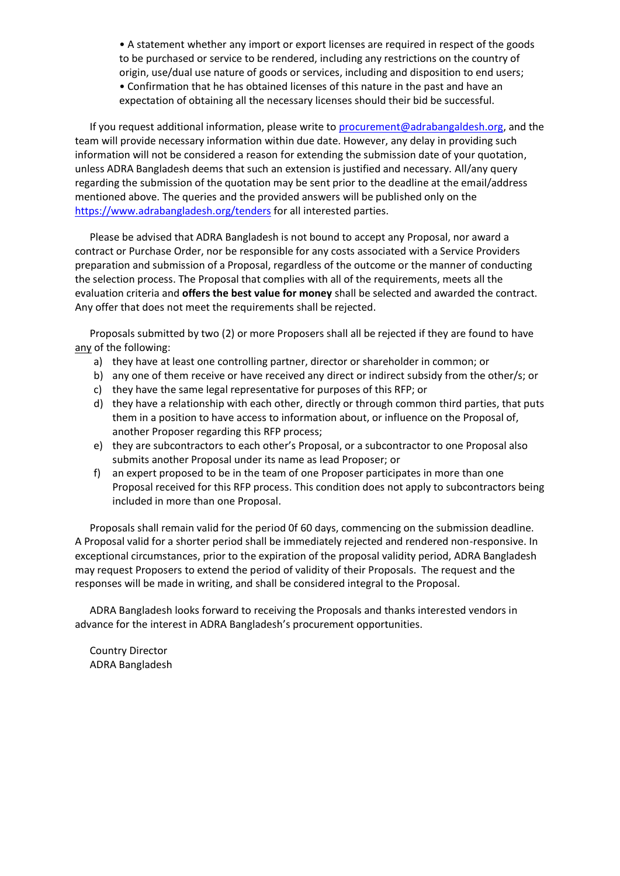• A statement whether any import or export licenses are required in respect of the goods to be purchased or service to be rendered, including any restrictions on the country of origin, use/dual use nature of goods or services, including and disposition to end users; • Confirmation that he has obtained licenses of this nature in the past and have an expectation of obtaining all the necessary licenses should their bid be successful.

If you request additional information, please write to [procurement@adrabangaldesh.org,](mailto:procurement@adrabangaldesh.org) and the team will provide necessary information within due date. However, any delay in providing such information will not be considered a reason for extending the submission date of your quotation, unless ADRA Bangladesh deems that such an extension is justified and necessary. All/any query regarding the submission of the quotation may be sent prior to the deadline at the email/address mentioned above. The queries and the provided answers will be published only on the <https://www.adrabangladesh.org/tenders> for all interested parties.

Please be advised that ADRA Bangladesh is not bound to accept any Proposal, nor award a contract or Purchase Order, nor be responsible for any costs associated with a Service Providers preparation and submission of a Proposal, regardless of the outcome or the manner of conducting the selection process. The Proposal that complies with all of the requirements, meets all the evaluation criteria and **offers the best value for money** shall be selected and awarded the contract. Any offer that does not meet the requirements shall be rejected.

Proposals submitted by two (2) or more Proposers shall all be rejected if they are found to have any of the following:

- a) they have at least one controlling partner, director or shareholder in common; or
- b) any one of them receive or have received any direct or indirect subsidy from the other/s; or
- c) they have the same legal representative for purposes of this RFP; or
- d) they have a relationship with each other, directly or through common third parties, that puts them in a position to have access to information about, or influence on the Proposal of, another Proposer regarding this RFP process;
- e) they are subcontractors to each other's Proposal, or a subcontractor to one Proposal also submits another Proposal under its name as lead Proposer; or
- f) an expert proposed to be in the team of one Proposer participates in more than one Proposal received for this RFP process. This condition does not apply to subcontractors being included in more than one Proposal.

Proposals shall remain valid for the period 0f 60 days, commencing on the submission deadline. A Proposal valid for a shorter period shall be immediately rejected and rendered non-responsive. In exceptional circumstances, prior to the expiration of the proposal validity period, ADRA Bangladesh may request Proposers to extend the period of validity of their Proposals. The request and the responses will be made in writing, and shall be considered integral to the Proposal.

ADRA Bangladesh looks forward to receiving the Proposals and thanks interested vendors in advance for the interest in ADRA Bangladesh's procurement opportunities.

Country Director ADRA Bangladesh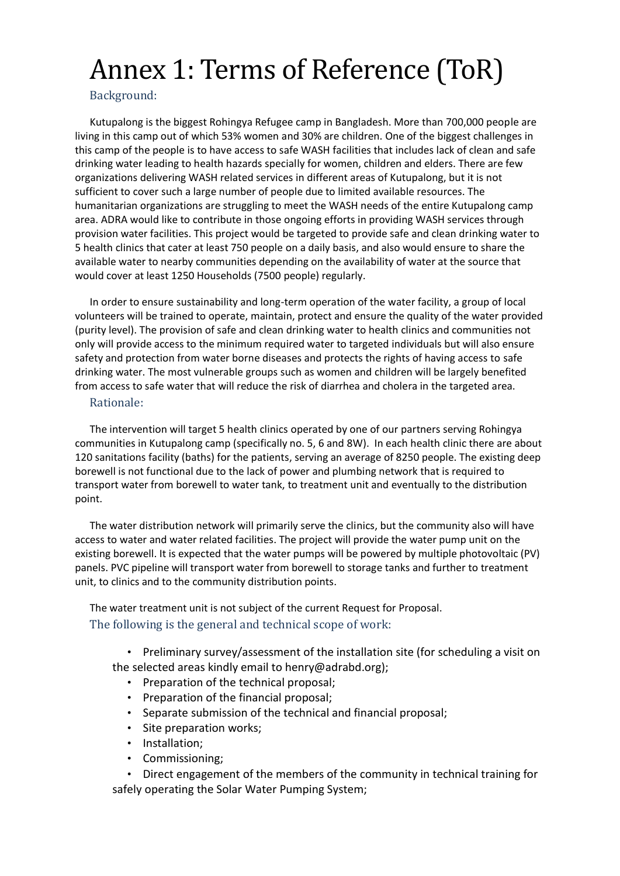# Annex 1: Terms of Reference (ToR)

## Background:

Kutupalong is the biggest Rohingya Refugee camp in Bangladesh. More than 700,000 people are living in this camp out of which 53% women and 30% are children. One of the biggest challenges in this camp of the people is to have access to safe WASH facilities that includes lack of clean and safe drinking water leading to health hazards specially for women, children and elders. There are few organizations delivering WASH related services in different areas of Kutupalong, but it is not sufficient to cover such a large number of people due to limited available resources. The humanitarian organizations are struggling to meet the WASH needs of the entire Kutupalong camp area. ADRA would like to contribute in those ongoing efforts in providing WASH services through provision water facilities. This project would be targeted to provide safe and clean drinking water to 5 health clinics that cater at least 750 people on a daily basis, and also would ensure to share the available water to nearby communities depending on the availability of water at the source that would cover at least 1250 Households (7500 people) regularly.

In order to ensure sustainability and long-term operation of the water facility, a group of local volunteers will be trained to operate, maintain, protect and ensure the quality of the water provided (purity level). The provision of safe and clean drinking water to health clinics and communities not only will provide access to the minimum required water to targeted individuals but will also ensure safety and protection from water borne diseases and protects the rights of having access to safe drinking water. The most vulnerable groups such as women and children will be largely benefited from access to safe water that will reduce the risk of diarrhea and cholera in the targeted area.

#### Rationale:

The intervention will target 5 health clinics operated by one of our partners serving Rohingya communities in Kutupalong camp (specifically no. 5, 6 and 8W). In each health clinic there are about 120 sanitations facility (baths) for the patients, serving an average of 8250 people. The existing deep borewell is not functional due to the lack of power and plumbing network that is required to transport water from borewell to water tank, to treatment unit and eventually to the distribution point.

The water distribution network will primarily serve the clinics, but the community also will have access to water and water related facilities. The project will provide the water pump unit on the existing borewell. It is expected that the water pumps will be powered by multiple photovoltaic (PV) panels. PVC pipeline will transport water from borewell to storage tanks and further to treatment unit, to clinics and to the community distribution points.

The water treatment unit is not subject of the current Request for Proposal. The following is the general and technical scope of work:

• Preliminary survey/assessment of the installation site (for scheduling a visit on the selected areas kindly email to henry@adrabd.org);

- Preparation of the technical proposal;
- Preparation of the financial proposal;
- Separate submission of the technical and financial proposal;
- Site preparation works;
- Installation;
- Commissioning;

• Direct engagement of the members of the community in technical training for safely operating the Solar Water Pumping System;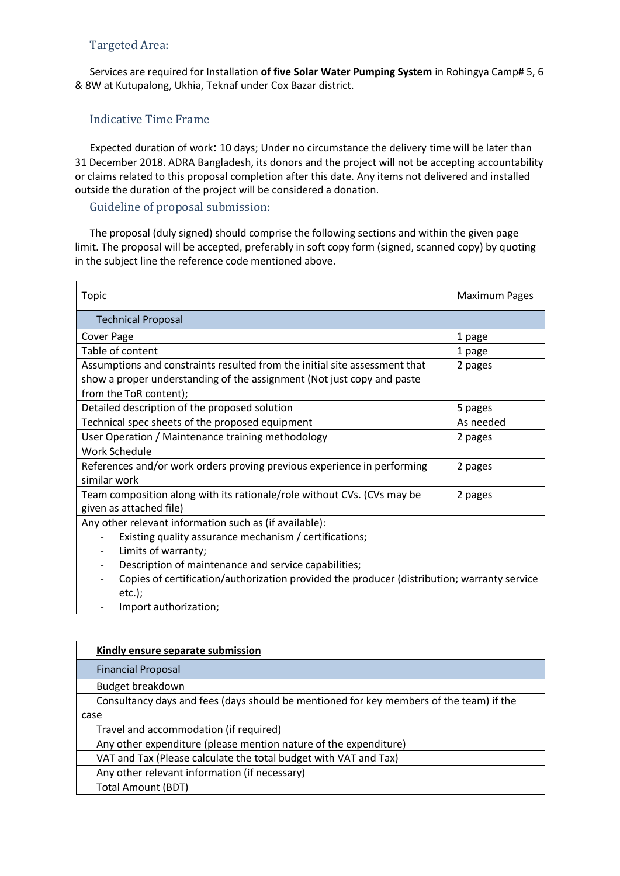## Targeted Area:

Services are required for Installation **of five Solar Water Pumping System** in Rohingya Camp# 5, 6 & 8W at Kutupalong, Ukhia, Teknaf under Cox Bazar district.

## Indicative Time Frame

Expected duration of work: 10 days; Under no circumstance the delivery time will be later than 31 December 2018. ADRA Bangladesh, its donors and the project will not be accepting accountability or claims related to this proposal completion after this date. Any items not delivered and installed outside the duration of the project will be considered a donation.

## Guideline of proposal submission:

The proposal (duly signed) should comprise the following sections and within the given page limit. The proposal will be accepted, preferably in soft copy form (signed, scanned copy) by quoting in the subject line the reference code mentioned above.

| Topic                                                                                       | <b>Maximum Pages</b> |  |  |
|---------------------------------------------------------------------------------------------|----------------------|--|--|
| <b>Technical Proposal</b>                                                                   |                      |  |  |
| Cover Page                                                                                  | 1 page               |  |  |
| Table of content                                                                            | 1 page               |  |  |
| Assumptions and constraints resulted from the initial site assessment that                  | 2 pages              |  |  |
| show a proper understanding of the assignment (Not just copy and paste                      |                      |  |  |
| from the ToR content);                                                                      |                      |  |  |
| Detailed description of the proposed solution                                               | 5 pages              |  |  |
| Technical spec sheets of the proposed equipment                                             | As needed            |  |  |
| User Operation / Maintenance training methodology                                           | 2 pages              |  |  |
| <b>Work Schedule</b>                                                                        |                      |  |  |
| References and/or work orders proving previous experience in performing                     | 2 pages              |  |  |
| similar work                                                                                |                      |  |  |
| Team composition along with its rationale/role without CVs. (CVs may be                     | 2 pages              |  |  |
| given as attached file)                                                                     |                      |  |  |
| Any other relevant information such as (if available):                                      |                      |  |  |
| Existing quality assurance mechanism / certifications;                                      |                      |  |  |
| Limits of warranty;<br>$\overline{\phantom{a}}$                                             |                      |  |  |
| Description of maintenance and service capabilities;                                        |                      |  |  |
| Copies of certification/authorization provided the producer (distribution; warranty service |                      |  |  |
| $etc.$ );                                                                                   |                      |  |  |
| المنافس والمنافس والمستنب والمستورة                                                         |                      |  |  |

Import authorization;

| Kindly ensure separate submission                                                       |
|-----------------------------------------------------------------------------------------|
| <b>Financial Proposal</b>                                                               |
| Budget breakdown                                                                        |
| Consultancy days and fees (days should be mentioned for key members of the team) if the |
| case                                                                                    |
| Travel and accommodation (if required)                                                  |
| Any other expenditure (please mention nature of the expenditure)                        |
| VAT and Tax (Please calculate the total budget with VAT and Tax)                        |
| Any other relevant information (if necessary)                                           |
| Total Amount (BDT)                                                                      |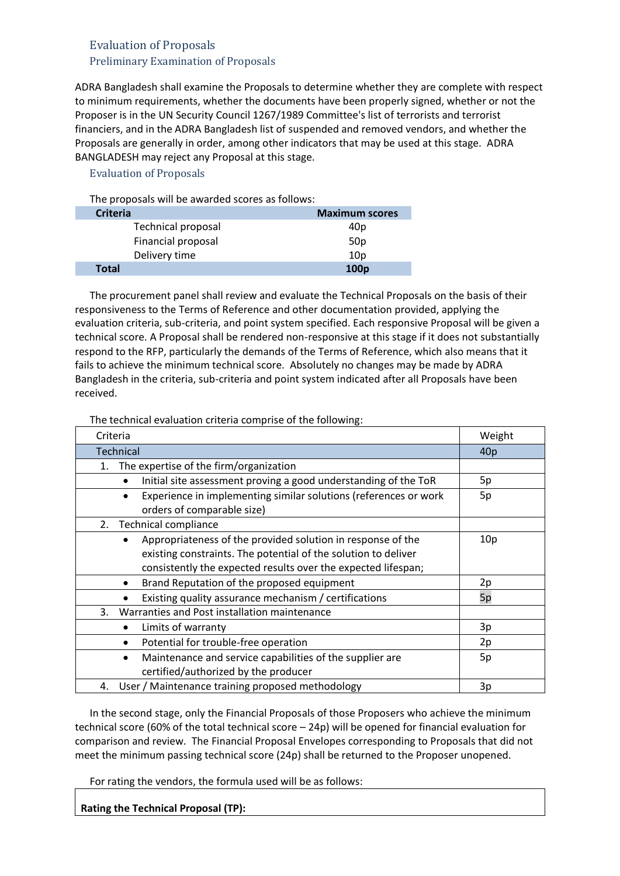## Evaluation of Proposals Preliminary Examination of Proposals

ADRA Bangladesh shall examine the Proposals to determine whether they are complete with respect to minimum requirements, whether the documents have been properly signed, whether or not the Proposer is in the UN Security Council 1267/1989 Committee's list of terrorists and terrorist financiers, and in the ADRA Bangladesh list of suspended and removed vendors, and whether the Proposals are generally in order, among other indicators that may be used at this stage. ADRA BANGLADESH may reject any Proposal at this stage.

### Evaluation of Proposals

The proposals will be awarded scores as follows:

| <b>Criteria</b>    | <b>Maximum scores</b> |
|--------------------|-----------------------|
| Technical proposal | 40p                   |
| Financial proposal | 50 <sub>p</sub>       |
| Delivery time      | 10 <sub>D</sub>       |
| <b>Total</b>       | 100 <sub>p</sub>      |

The procurement panel shall review and evaluate the Technical Proposals on the basis of their responsiveness to the Terms of Reference and other documentation provided, applying the evaluation criteria, sub-criteria, and point system specified. Each responsive Proposal will be given a technical score. A Proposal shall be rendered non-responsive at this stage if it does not substantially respond to the RFP, particularly the demands of the Terms of Reference, which also means that it fails to achieve the minimum technical score. Absolutely no changes may be made by ADRA Bangladesh in the criteria, sub-criteria and point system indicated after all Proposals have been received.

The technical evaluation criteria comprise of the following:

| Criteria                                                                                                                                                                                                    | Weight          |
|-------------------------------------------------------------------------------------------------------------------------------------------------------------------------------------------------------------|-----------------|
| Technical                                                                                                                                                                                                   | 40 <sub>p</sub> |
| The expertise of the firm/organization<br>1.                                                                                                                                                                |                 |
| Initial site assessment proving a good understanding of the ToR<br>$\bullet$                                                                                                                                | 5p              |
| Experience in implementing similar solutions (references or work<br>orders of comparable size)                                                                                                              | 5p              |
| <b>Technical compliance</b><br>2.                                                                                                                                                                           |                 |
| Appropriateness of the provided solution in response of the<br>$\bullet$<br>existing constraints. The potential of the solution to deliver<br>consistently the expected results over the expected lifespan; | 10p             |
| Brand Reputation of the proposed equipment<br>$\bullet$                                                                                                                                                     | 2p              |
| Existing quality assurance mechanism / certifications                                                                                                                                                       | 5p              |
| Warranties and Post installation maintenance<br>3.                                                                                                                                                          |                 |
| Limits of warranty<br>$\bullet$                                                                                                                                                                             | 3p              |
| Potential for trouble-free operation<br>٠                                                                                                                                                                   | 2p              |
| Maintenance and service capabilities of the supplier are<br>$\bullet$<br>certified/authorized by the producer                                                                                               | 5p              |
| User / Maintenance training proposed methodology<br>4.                                                                                                                                                      | 3p              |

In the second stage, only the Financial Proposals of those Proposers who achieve the minimum technical score (60% of the total technical score – 24p) will be opened for financial evaluation for comparison and review. The Financial Proposal Envelopes corresponding to Proposals that did not meet the minimum passing technical score (24p) shall be returned to the Proposer unopened.

For rating the vendors, the formula used will be as follows:

**Rating the Technical Proposal (TP):**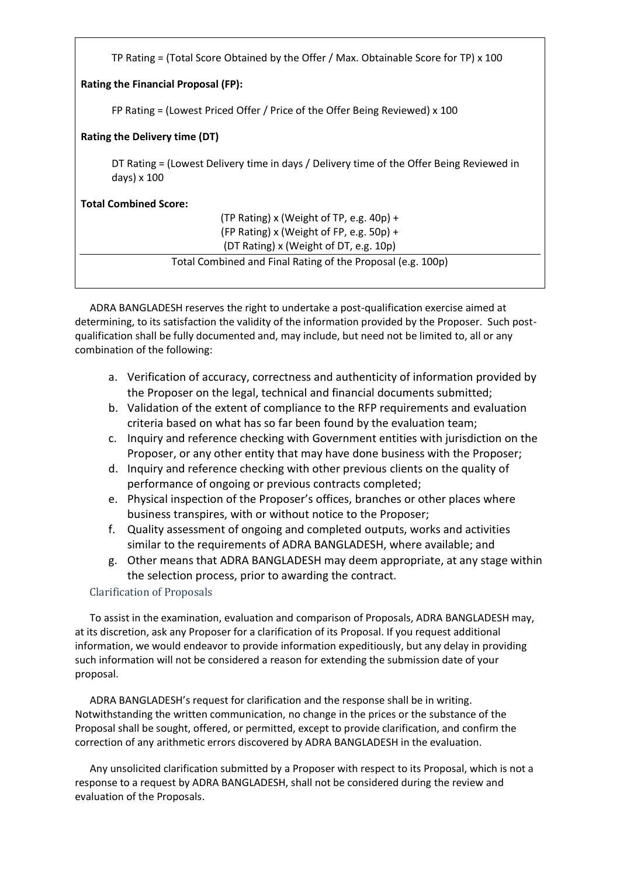| TP Rating = (Total Score Obtained by the Offer / Max. Obtainable Score for TP) $\times$ 100             |  |  |  |
|---------------------------------------------------------------------------------------------------------|--|--|--|
| <b>Rating the Financial Proposal (FP):</b>                                                              |  |  |  |
| FP Rating $=$ (Lowest Priced Offer / Price of the Offer Being Reviewed) x 100                           |  |  |  |
| Rating the Delivery time (DT)                                                                           |  |  |  |
| DT Rating = (Lowest Delivery time in days / Delivery time of the Offer Being Reviewed in<br>days) x 100 |  |  |  |
| <b>Total Combined Score:</b>                                                                            |  |  |  |
| (TP Rating) x (Weight of TP, e.g. 40p) +                                                                |  |  |  |
| (FP Rating) x (Weight of FP, e.g. 50p) +                                                                |  |  |  |
| (DT Rating) x (Weight of DT, e.g. 10p)                                                                  |  |  |  |
| Total Combined and Final Rating of the Proposal (e.g. 100p)                                             |  |  |  |
|                                                                                                         |  |  |  |
|                                                                                                         |  |  |  |

ADRA BANGLADESH reserves the right to undertake a post-qualification exercise aimed at determining, to its satisfaction the validity of the information provided by the Proposer. Such postqualification shall be fully documented and, may include, but need not be limited to, all or any combination of the following:

- a. Verification of accuracy, correctness and authenticity of information provided by the Proposer on the legal, technical and financial documents submitted;
- b. Validation of the extent of compliance to the RFP requirements and evaluation criteria based on what has so far been found by the evaluation team;
- c. Inquiry and reference checking with Government entities with jurisdiction on the Proposer, or any other entity that may have done business with the Proposer;
- d. Inquiry and reference checking with other previous clients on the quality of performance of ongoing or previous contracts completed;
- e. Physical inspection of the Proposer's offices, branches or other places where business transpires, with or without notice to the Proposer;
- f. Quality assessment of ongoing and completed outputs, works and activities similar to the requirements of ADRA BANGLADESH, where available; and
- g. Other means that ADRA BANGLADESH may deem appropriate, at any stage within the selection process, prior to awarding the contract.

### Clarification of Proposals

To assist in the examination, evaluation and comparison of Proposals, ADRA BANGLADESH may, at its discretion, ask any Proposer for a clarification of its Proposal. If you request additional information, we would endeavor to provide information expeditiously, but any delay in providing such information will not be considered a reason for extending the submission date of your proposal.

ADRA BANGLADESH's request for clarification and the response shall be in writing. Notwithstanding the written communication, no change in the prices or the substance of the Proposal shall be sought, offered, or permitted, except to provide clarification, and confirm the correction of any arithmetic errors discovered by ADRA BANGLADESH in the evaluation.

Any unsolicited clarification submitted by a Proposer with respect to its Proposal, which is not a response to a request by ADRA BANGLADESH, shall not be considered during the review and evaluation of the Proposals.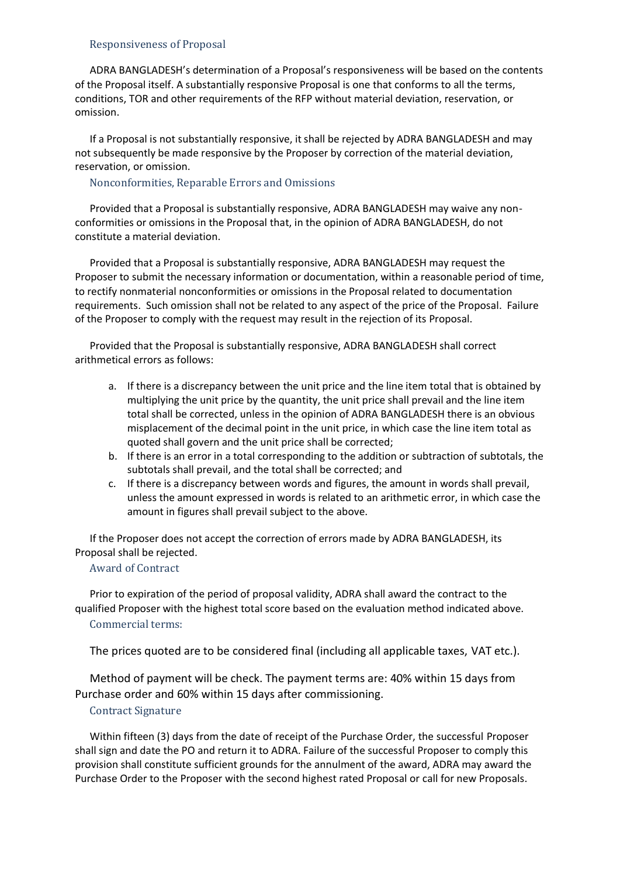#### Responsiveness of Proposal

ADRA BANGLADESH's determination of a Proposal's responsiveness will be based on the contents of the Proposal itself. A substantially responsive Proposal is one that conforms to all the terms, conditions, TOR and other requirements of the RFP without material deviation, reservation, or omission.

If a Proposal is not substantially responsive, it shall be rejected by ADRA BANGLADESH and may not subsequently be made responsive by the Proposer by correction of the material deviation, reservation, or omission.

Nonconformities, Reparable Errors and Omissions

Provided that a Proposal is substantially responsive, ADRA BANGLADESH may waive any nonconformities or omissions in the Proposal that, in the opinion of ADRA BANGLADESH, do not constitute a material deviation.

Provided that a Proposal is substantially responsive, ADRA BANGLADESH may request the Proposer to submit the necessary information or documentation, within a reasonable period of time, to rectify nonmaterial nonconformities or omissions in the Proposal related to documentation requirements. Such omission shall not be related to any aspect of the price of the Proposal. Failure of the Proposer to comply with the request may result in the rejection of its Proposal.

Provided that the Proposal is substantially responsive, ADRA BANGLADESH shall correct arithmetical errors as follows:

- a. If there is a discrepancy between the unit price and the line item total that is obtained by multiplying the unit price by the quantity, the unit price shall prevail and the line item total shall be corrected, unless in the opinion of ADRA BANGLADESH there is an obvious misplacement of the decimal point in the unit price, in which case the line item total as quoted shall govern and the unit price shall be corrected;
- b. If there is an error in a total corresponding to the addition or subtraction of subtotals, the subtotals shall prevail, and the total shall be corrected; and
- c. If there is a discrepancy between words and figures, the amount in words shall prevail, unless the amount expressed in words is related to an arithmetic error, in which case the amount in figures shall prevail subject to the above.

If the Proposer does not accept the correction of errors made by ADRA BANGLADESH, its Proposal shall be rejected.

#### Award of Contract

Prior to expiration of the period of proposal validity, ADRA shall award the contract to the qualified Proposer with the highest total score based on the evaluation method indicated above. Commercial terms:

The prices quoted are to be considered final (including all applicable taxes, VAT etc.).

Method of payment will be check. The payment terms are: 40% within 15 days from Purchase order and 60% within 15 days after commissioning.

### Contract Signature

Within fifteen (3) days from the date of receipt of the Purchase Order, the successful Proposer shall sign and date the PO and return it to ADRA. Failure of the successful Proposer to comply this provision shall constitute sufficient grounds for the annulment of the award, ADRA may award the Purchase Order to the Proposer with the second highest rated Proposal or call for new Proposals.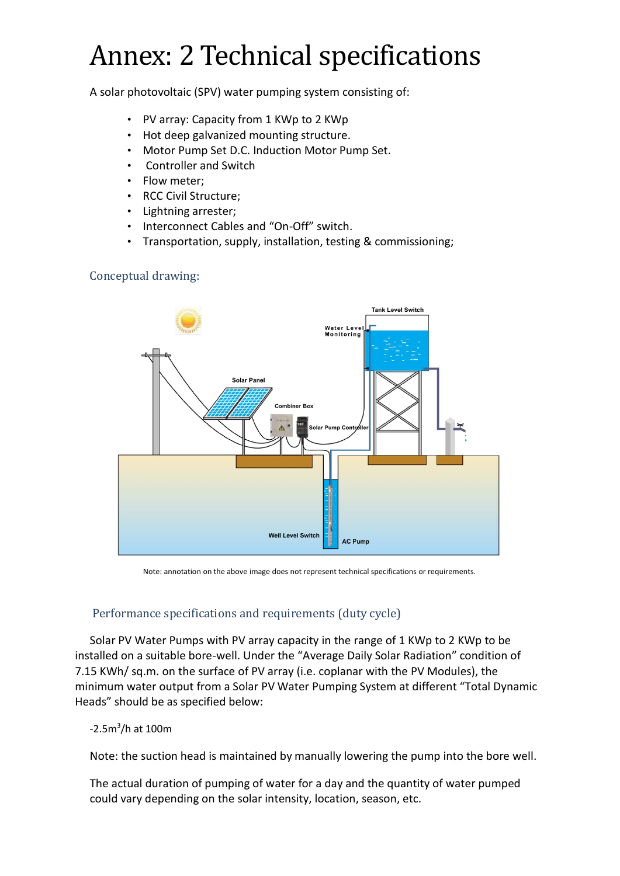# Annex: 2 Technical specifications

A solar photovoltaic (SPV) water pumping system consisting of:

- PV array: Capacity from 1 KWp to 2 KWp
- Hot deep galvanized mounting structure.
- Motor Pump Set D.C. Induction Motor Pump Set.
- Controller and Switch
- Flow meter;
- RCC Civil Structure;
- Lightning arrester;
- Interconnect Cables and "On-Off" switch.
- Transportation, supply, installation, testing & commissioning;

## Conceptual drawing:



Note: annotation on the above image does not represent technical specifications or requirements.

## Performance specifications and requirements (duty cycle)

Solar PV Water Pumps with PV array capacity in the range of 1 KWp to 2 KWp to be installed on a suitable bore-well. Under the "Average Daily Solar Radiation" condition of 7.15 KWh/ sq.m. on the surface of PV array (i.e. coplanar with the PV Modules), the minimum water output from a Solar PV Water Pumping System at different "Total Dynamic Heads" should be as specified below:

## -2.5m<sup>3</sup>/h at 100m

Note: the suction head is maintained by manually lowering the pump into the bore well.

The actual duration of pumping of water for a day and the quantity of water pumped could vary depending on the solar intensity, location, season, etc.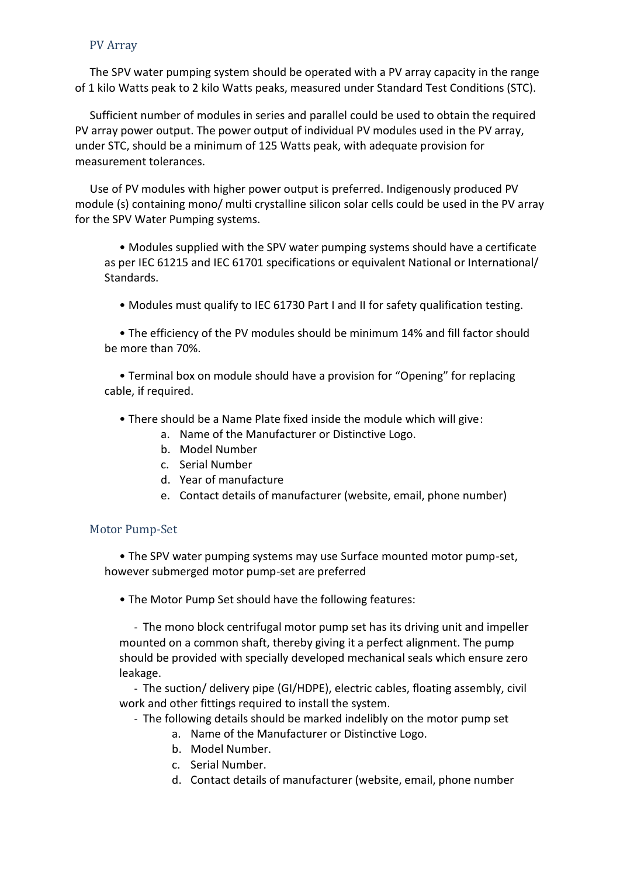## PV Array

The SPV water pumping system should be operated with a PV array capacity in the range of 1 kilo Watts peak to 2 kilo Watts peaks, measured under Standard Test Conditions (STC).

Sufficient number of modules in series and parallel could be used to obtain the required PV array power output. The power output of individual PV modules used in the PV array, under STC, should be a minimum of 125 Watts peak, with adequate provision for measurement tolerances.

Use of PV modules with higher power output is preferred. Indigenously produced PV module (s) containing mono/ multi crystalline silicon solar cells could be used in the PV array for the SPV Water Pumping systems.

• Modules supplied with the SPV water pumping systems should have a certificate as per IEC 61215 and IEC 61701 specifications or equivalent National or International/ Standards.

• Modules must qualify to IEC 61730 Part I and II for safety qualification testing.

• The efficiency of the PV modules should be minimum 14% and fill factor should be more than 70%.

• Terminal box on module should have a provision for "Opening" for replacing cable, if required.

- There should be a Name Plate fixed inside the module which will give:
	- a. Name of the Manufacturer or Distinctive Logo.
	- b. Model Number
	- c. Serial Number
	- d. Year of manufacture
	- e. Contact details of manufacturer (website, email, phone number)

## Motor Pump-Set

• The SPV water pumping systems may use Surface mounted motor pump-set, however submerged motor pump-set are preferred

• The Motor Pump Set should have the following features:

- The mono block centrifugal motor pump set has its driving unit and impeller mounted on a common shaft, thereby giving it a perfect alignment. The pump should be provided with specially developed mechanical seals which ensure zero leakage.

- The suction/ delivery pipe (GI/HDPE), electric cables, floating assembly, civil work and other fittings required to install the system.

- The following details should be marked indelibly on the motor pump set
	- a. Name of the Manufacturer or Distinctive Logo.
	- b. Model Number.
	- c. Serial Number.
	- d. Contact details of manufacturer (website, email, phone number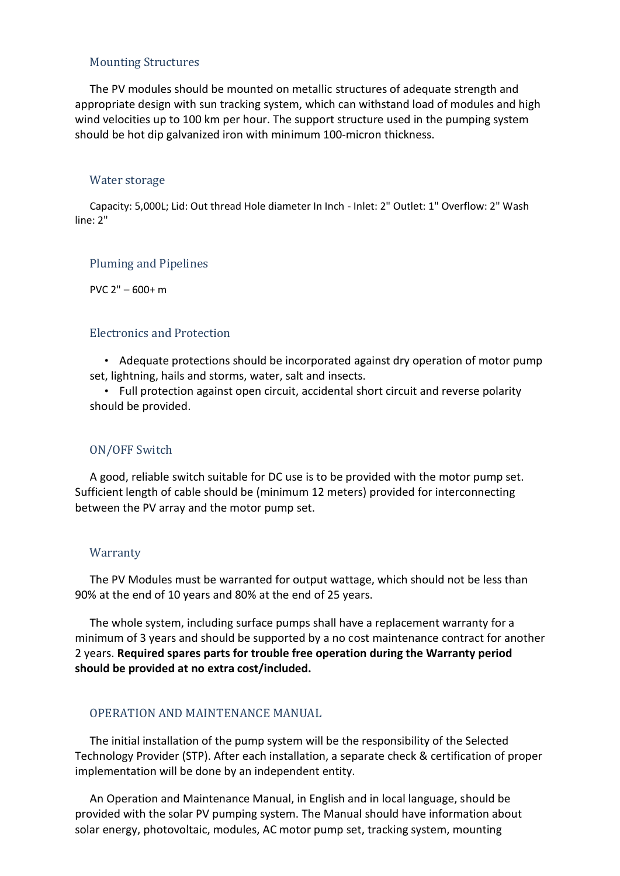### Mounting Structures

The PV modules should be mounted on metallic structures of adequate strength and appropriate design with sun tracking system, which can withstand load of modules and high wind velocities up to 100 km per hour. The support structure used in the pumping system should be hot dip galvanized iron with minimum 100-micron thickness.

#### Water storage

Capacity: 5,000L; Lid: Out thread Hole diameter In Inch - Inlet: 2" Outlet: 1" Overflow: 2" Wash line: 2"

#### Pluming and Pipelines

PVC 2" – 600+ m

#### Electronics and Protection

• Adequate protections should be incorporated against dry operation of motor pump set, lightning, hails and storms, water, salt and insects.

• Full protection against open circuit, accidental short circuit and reverse polarity should be provided.

#### ON/OFF Switch

A good, reliable switch suitable for DC use is to be provided with the motor pump set. Sufficient length of cable should be (minimum 12 meters) provided for interconnecting between the PV array and the motor pump set.

#### **Warranty**

The PV Modules must be warranted for output wattage, which should not be less than 90% at the end of 10 years and 80% at the end of 25 years.

The whole system, including surface pumps shall have a replacement warranty for a minimum of 3 years and should be supported by a no cost maintenance contract for another 2 years. **Required spares parts for trouble free operation during the Warranty period should be provided at no extra cost/included.**

#### OPERATION AND MAINTENANCE MANUAL

The initial installation of the pump system will be the responsibility of the Selected Technology Provider (STP). After each installation, a separate check & certification of proper implementation will be done by an independent entity.

An Operation and Maintenance Manual, in English and in local language, should be provided with the solar PV pumping system. The Manual should have information about solar energy, photovoltaic, modules, AC motor pump set, tracking system, mounting